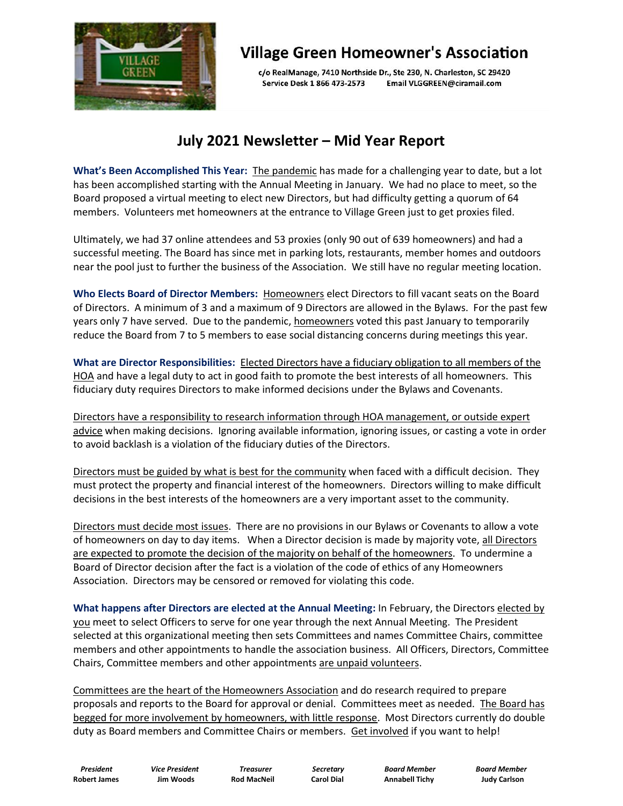

## **Village Green Homeowner's Association**

c/o RealManage, 7410 Northside Dr., Ste 230, N. Charleston, SC 29420 Service Desk 1 866 473-2573 Email VLGGREEN@ciramail.com

## **July 2021 Newsletter – Mid Year Report**

**What's Been Accomplished This Year:** The pandemic has made for a challenging year to date, but a lot has been accomplished starting with the Annual Meeting in January. We had no place to meet, so the Board proposed a virtual meeting to elect new Directors, but had difficulty getting a quorum of 64 members. Volunteers met homeowners at the entrance to Village Green just to get proxies filed.

Ultimately, we had 37 online attendees and 53 proxies (only 90 out of 639 homeowners) and had a successful meeting. The Board has since met in parking lots, restaurants, member homes and outdoors near the pool just to further the business of the Association. We still have no regular meeting location.

**Who Elects Board of Director Members:** Homeowners elect Directors to fill vacant seats on the Board of Directors. A minimum of 3 and a maximum of 9 Directors are allowed in the Bylaws. For the past few years only 7 have served. Due to the pandemic, homeowners voted this past January to temporarily reduce the Board from 7 to 5 members to ease social distancing concerns during meetings this year.

**What are Director Responsibilities:** Elected Directors have a fiduciary obligation to all members of the HOA and have a legal duty to act in good faith to promote the best interests of all homeowners. This fiduciary duty requires Directors to make informed decisions under the Bylaws and Covenants.

Directors have a responsibility to research information through HOA management, or outside expert advice when making decisions. Ignoring available information, ignoring issues, or casting a vote in order to avoid backlash is a violation of the fiduciary duties of the Directors.

Directors must be guided by what is best for the community when faced with a difficult decision. They must protect the property and financial interest of the homeowners. Directors willing to make difficult decisions in the best interests of the homeowners are a very important asset to the community.

Directors must decide most issues. There are no provisions in our Bylaws or Covenants to allow a vote of homeowners on day to day items. When a Director decision is made by majority vote, all Directors are expected to promote the decision of the majority on behalf of the homeowners. To undermine a Board of Director decision after the fact is a violation of the code of ethics of any Homeowners Association. Directors may be censored or removed for violating this code.

**What happens after Directors are elected at the Annual Meeting:** In February, the Directors elected by you meet to select Officers to serve for one year through the next Annual Meeting. The President selected at this organizational meeting then sets Committees and names Committee Chairs, committee members and other appointments to handle the association business. All Officers, Directors, Committee Chairs, Committee members and other appointments are unpaid volunteers.

Committees are the heart of the Homeowners Association and do research required to prepare proposals and reports to the Board for approval or denial. Committees meet as needed. The Board has begged for more involvement by homeowners, with little response. Most Directors currently do double duty as Board members and Committee Chairs or members. Get involved if you want to help!

 *President Vice President Treasurer Secretary Board Member Board Member*  **Robert James Jim Woods Rod MacNeil Carol Dial Annabell Tichy Judy Carlson**